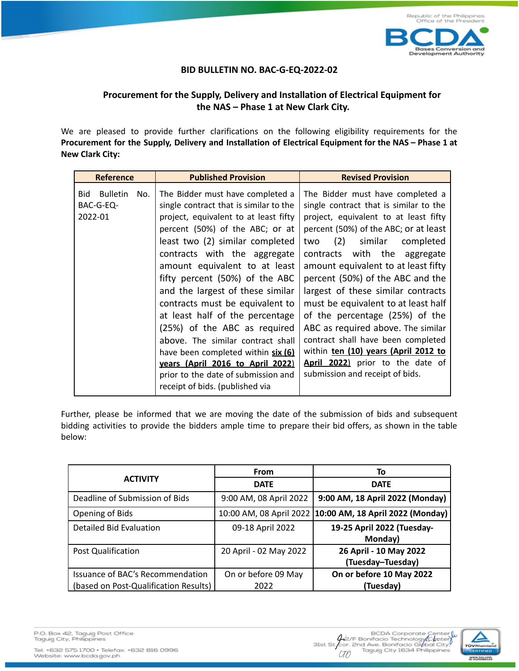

## **BID BULLETIN NO. BAC-G-EQ-2022-02**

## **Procurement for the Supply, Delivery and Installation of Electrical Equipment for the NAS – Phase 1 at New Clark City.**

We are pleased to provide further clarifications on the following eligibility requirements for the **Procurement for the Supply, Delivery and Installation of Electrical Equipment for the NAS – Phase 1 at New Clark City:**

| <b>Reference</b>                                      | <b>Published Provision</b>                                                                                                                                                                                                                                                                                                                                                                                                                                                                                                                                                                                                      | <b>Revised Provision</b>                                                                                                                                                                                                                                                                                                                                                                                                                                                                                                                                                                                          |
|-------------------------------------------------------|---------------------------------------------------------------------------------------------------------------------------------------------------------------------------------------------------------------------------------------------------------------------------------------------------------------------------------------------------------------------------------------------------------------------------------------------------------------------------------------------------------------------------------------------------------------------------------------------------------------------------------|-------------------------------------------------------------------------------------------------------------------------------------------------------------------------------------------------------------------------------------------------------------------------------------------------------------------------------------------------------------------------------------------------------------------------------------------------------------------------------------------------------------------------------------------------------------------------------------------------------------------|
| <b>Bulletin</b><br>Bid<br>No.<br>BAC-G-EQ-<br>2022-01 | The Bidder must have completed a<br>single contract that is similar to the<br>project, equivalent to at least fifty<br>percent (50%) of the ABC; or at<br>least two (2) similar completed<br>contracts with the aggregate<br>amount equivalent to at least<br>fifty percent (50%) of the ABC<br>and the largest of these similar<br>contracts must be equivalent to<br>at least half of the percentage<br>(25%) of the ABC as required<br>above. The similar contract shall<br>have been completed within six (6)<br>years (April 2016 to April 2022)<br>prior to the date of submission and<br>receipt of bids. (published via | The Bidder must have completed a<br>single contract that is similar to the<br>project, equivalent to at least fifty<br>percent (50%) of the ABC; or at least<br>(2) similar completed<br>two<br>contracts with the aggregate<br>amount equivalent to at least fifty<br>percent (50%) of the ABC and the<br>largest of these similar contracts<br>must be equivalent to at least half<br>of the percentage (25%) of the<br>ABC as required above. The similar<br>contract shall have been completed<br>within ten (10) years (April 2012 to<br>April 2022) prior to the date of<br>submission and receipt of bids. |

Further, please be informed that we are moving the date of the submission of bids and subsequent bidding activities to provide the bidders ample time to prepare their bid offers, as shown in the table below:

|                                       | <b>From</b>             | To                               |
|---------------------------------------|-------------------------|----------------------------------|
| <b>ACTIVITY</b>                       | <b>DATE</b>             | <b>DATE</b>                      |
| Deadline of Submission of Bids        | 9:00 AM, 08 April 2022  | 9:00 AM, 18 April 2022 (Monday)  |
| Opening of Bids                       | 10:00 AM, 08 April 2022 | 10:00 AM, 18 April 2022 (Monday) |
| <b>Detailed Bid Evaluation</b>        | 09-18 April 2022        | 19-25 April 2022 (Tuesday-       |
|                                       |                         | Monday)                          |
| Post Qualification                    | 20 April - 02 May 2022  | 26 April - 10 May 2022           |
|                                       |                         | (Tuesday-Tuesday)                |
| Issuance of BAC's Recommendation      | On or before 09 May     | On or before 10 May 2022         |
| (based on Post-Qualification Results) | 2022                    | (Tuesday)                        |